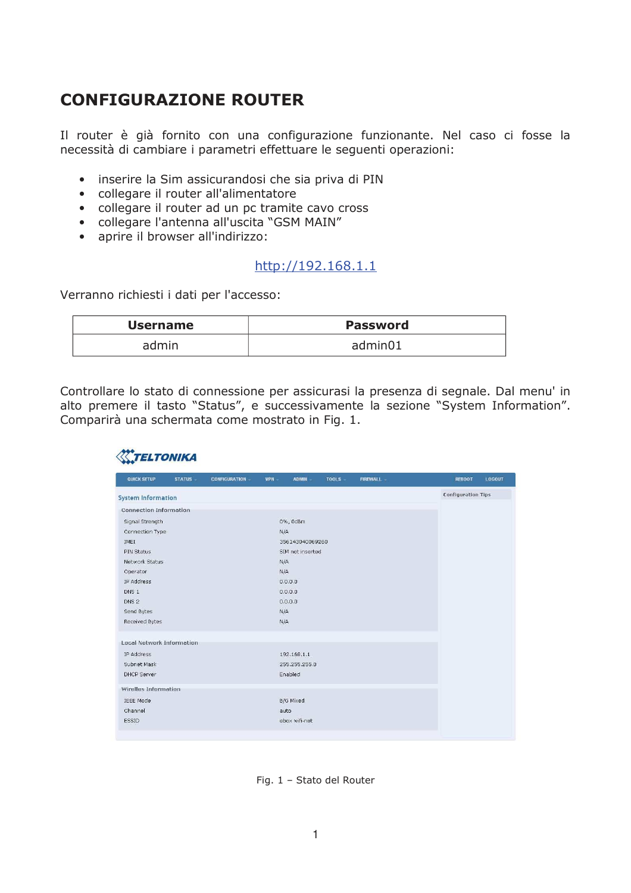## **CONFIGURAZIONE ROUTER**

Il router è già fornito con una configurazione funzionante. Nel caso ci fosse la necessità di cambiare i parametri effettuare le seguenti operazioni:

- · inserire la Sim assicurandosi che sia priva di PIN
- collegare il router all'alimentatore
- collegare il router ad un pc tramite cavo cross
- collegare l'antenna all'uscita "GSM MAIN"
- aprire il browser all'indirizzo:

## http://192.168.1.1

Verranno richiesti i dati per l'accesso:

| <b>Username</b> | <b>Password</b> |
|-----------------|-----------------|
| admin           | admin01         |

Controllare lo stato di connessione per assicurasi la presenza di segnale. Dal menu' in alto premere il tasto "Status", e successivamente la sezione "System Information". Comparirà una schermata come mostrato in Fig. 1.

| QUICK SETUP                      | <b>STATUS</b> | <b>CONFIGURATION -</b> | VPN -   | <b>ADMIN</b>     | TOOLS - | <b>FIREWALL</b> | <b>REBOOT</b><br><b>LOGOUT</b> |
|----------------------------------|---------------|------------------------|---------|------------------|---------|-----------------|--------------------------------|
| <b>System Information</b>        |               |                        |         |                  |         |                 | <b>Configuration Tips</b>      |
| <b>Connection Information</b>    |               |                        |         |                  |         |                 |                                |
| Signal Strength                  |               |                        |         | 0%, 0dBm         |         |                 |                                |
| Connection Type                  |               |                        |         | N/A              |         |                 |                                |
| IMEI                             |               |                        |         | 356143040069260  |         |                 |                                |
| PIN Status                       |               |                        |         | SIM not inserted |         |                 |                                |
| Network Status                   |               |                        |         | N/A              |         |                 |                                |
| Operator                         |               |                        | N/A     |                  |         |                 |                                |
| IP Address                       |               |                        | 0.0.0.0 |                  |         |                 |                                |
| DNS <sub>1</sub>                 |               |                        |         | 0.0.0.0          |         |                 |                                |
| DNS <sub>2</sub>                 |               |                        |         | 0.0.0.0          |         |                 |                                |
| Send Bytes                       |               |                        | N/A     |                  |         |                 |                                |
| Received Bytes                   |               |                        |         | N/A              |         |                 |                                |
| <b>Local Network Information</b> |               |                        |         |                  |         |                 |                                |
| IP Address                       |               |                        |         | 192.168.1.1      |         |                 |                                |
| Subnet Mask                      |               |                        |         | 255.255.255.0    |         |                 |                                |
| <b>DHCP Server</b>               |               |                        |         | Enabled          |         |                 |                                |
| Wirelles Information             |               |                        |         |                  |         |                 |                                |
| <b>IEEE Mode</b>                 |               |                        |         | <b>B/G Mixed</b> |         |                 |                                |
| Channel                          |               |                        |         | auto             |         |                 |                                |
| ESSID                            |               |                        |         | ebox wifi-net    |         |                 |                                |

Fig. 1 - Stato del Router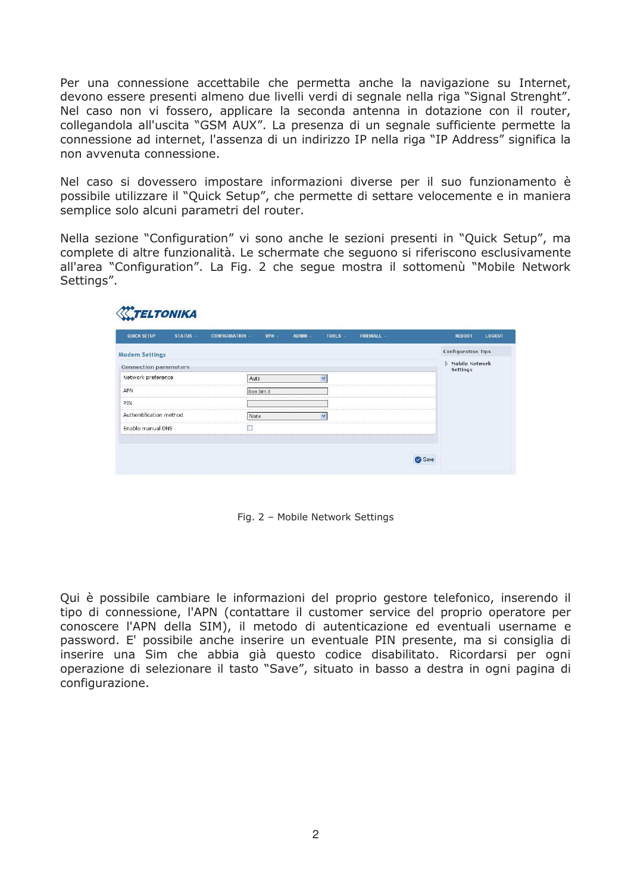Per una connessione accettabile che permetta anche la navigazione su Internet, devono essere presenti almeno due livelli verdi di segnale nella riga "Signal Strenght". Nel caso non vi fossero, applicare la seconda antenna in dotazione con il router, collegandola all'uscita "GSM AUX". La presenza di un segnale sufficiente permette la connessione ad internet, l'assenza di un indirizzo IP nella riga "IP Address" significa la non avvenuta connessione.

Nel caso si dovessero impostare informazioni diverse per il suo funzionamento è possibile utilizzare il "Quick Setup", che permette di settare velocemente e in maniera semplice solo alcuni parametri del router.

Nella sezione "Configuration" vi sono anche le sezioni presenti in "Quick Setup", ma complete di altre funzionalità. Le schermate che seguono si riferiscono esclusivamente all'area "Configuration". La Fig. 2 che segue mostra il sottomenù "Mobile Network Settings".

| <b>QUICK SETUP</b>           | <b>STATUS</b> | <b>CONFIGURATION</b> | <b>VPN</b>  | <b>ADMIN</b> | <b>TOOLS</b> | <b>FIREWALL</b> | LOGOUT<br><b>REBOOT</b>           |
|------------------------------|---------------|----------------------|-------------|--------------|--------------|-----------------|-----------------------------------|
| <b>Modem Settings</b>        |               |                      |             |              |              |                 | <b>Configuration Tips</b>         |
| <b>Connection parameters</b> |               |                      |             |              |              |                 | Mobile Network<br><b>Settings</b> |
| Network preference           |               | Auto                 |             |              | $\checkmark$ |                 |                                   |
| APN                          |               |                      | ibox.tim.it |              |              |                 |                                   |
| PIN                          |               |                      |             |              |              |                 |                                   |
| Authentification method      |               | None                 |             |              | $\mathbf{v}$ |                 |                                   |
| Enable manual DNS            |               | п                    |             |              |              |                 |                                   |

Fig. 2 - Mobile Network Settings

Qui è possibile cambiare le informazioni del proprio gestore telefonico, inserendo il tipo di connessione, l'APN (contattare il customer service del proprio operatore per conoscere l'APN della SIM), il metodo di autenticazione ed eventuali username e password. E' possibile anche inserire un eventuale PIN presente, ma si consiglia di inserire una Sim che abbia già questo codice disabilitato. Ricordarsi per ogni operazione di selezionare il tasto "Save", situato in basso a destra in ogni pagina di configurazione.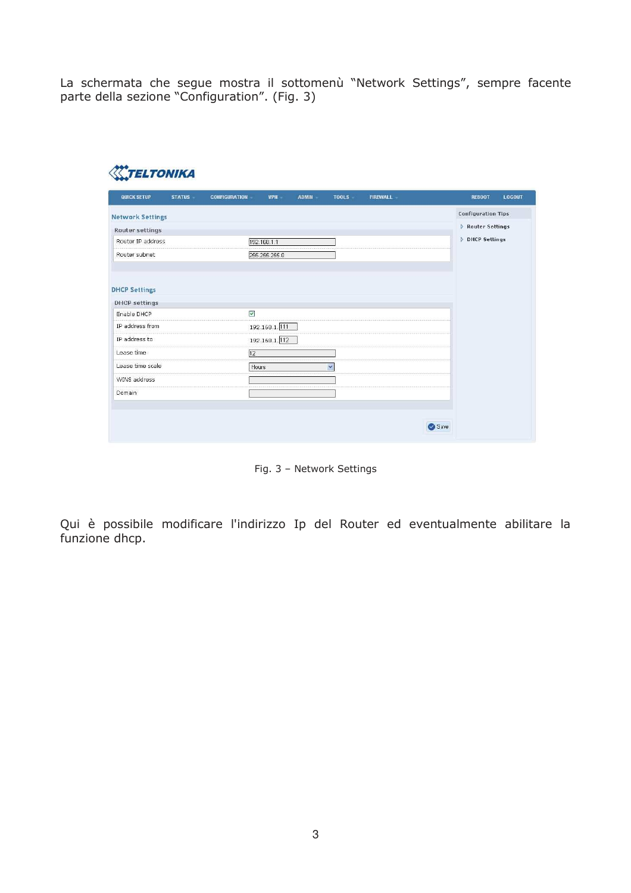La schermata che segue mostra il sottomenù "Network Settings", sempre facente parte della sezione "Configuration". (Fig. 3)

| <b>QUICK SETUP</b>      | <b>STATUS</b> | <b>CONFIGURATION</b> | <b>VPN</b>    | <b>ADMIN</b> | <b>TOOLS</b>         | <b>FIREWALL</b> | <b>REBOOT</b><br><b>LOGOUT</b> |
|-------------------------|---------------|----------------------|---------------|--------------|----------------------|-----------------|--------------------------------|
| <b>Network Settings</b> |               |                      |               |              |                      |                 | <b>Configuration Tips</b>      |
| Router settings         |               |                      |               |              |                      |                 | Router Settings                |
| Router IP address       |               |                      | 192.168.1.1   |              |                      |                 | <b>DHCP Settings</b>           |
| Router subnet           |               |                      | 255.255.255.0 |              |                      |                 |                                |
| <b>DHCP settings</b>    |               | V                    |               |              |                      |                 |                                |
| Enable DHCP             |               |                      |               |              |                      |                 |                                |
| IP address from         |               |                      | 192.168.1.111 |              |                      |                 |                                |
| IP address to           |               |                      | 192.168.1.112 |              |                      |                 |                                |
| Lease time              |               | $\overline{12}$      |               |              |                      |                 |                                |
| Lease time scale        |               | Hours                |               |              | $\ddot{\phantom{1}}$ |                 |                                |
| WINS address            |               |                      |               |              |                      |                 |                                |
|                         |               |                      |               |              |                      |                 |                                |

Fig. 3 - Network Settings

Qui è possibile modificare l'indirizzo Ip del Router ed eventualmente abilitare la funzione dhcp.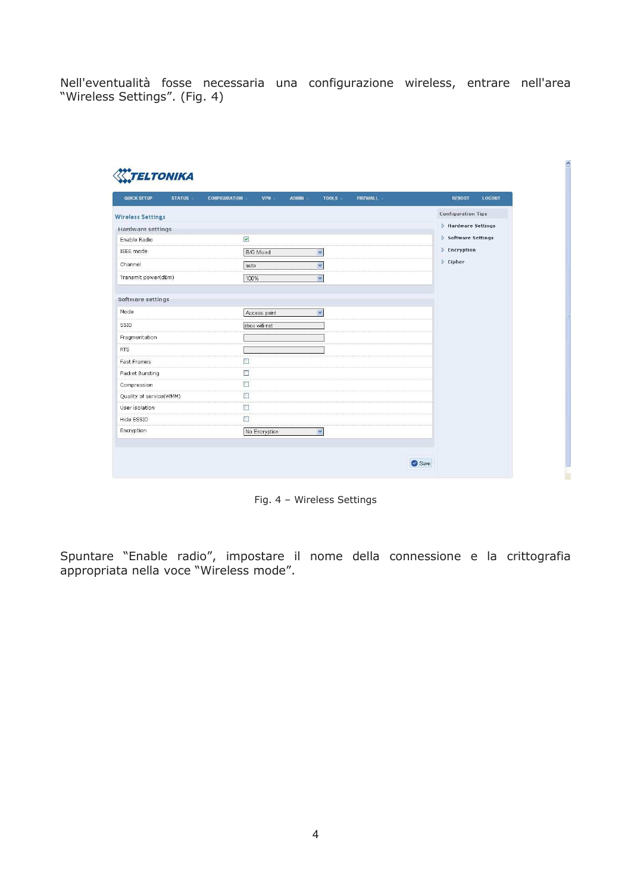Nell'eventualità fosse necessaria una configurazione wireless, entrare nell'area "Wireless Settings". (Fig. 4)

| QUICK SETUP<br><b>STATUS</b> | VPN -<br><b>CONFIGURATION</b><br><b>ADMIN</b> | FIREWALL -<br><b>REBOOT</b><br>TOOLS - | <b>LOGOUT</b> |
|------------------------------|-----------------------------------------------|----------------------------------------|---------------|
| <b>Wireless Settings</b>     |                                               | <b>Configuration Tips</b>              |               |
| <b>Hardware settings</b>     |                                               | Hardware Settings                      |               |
| Enable Radio                 | $\triangledown$                               | Software Settings                      |               |
| IEEE mode                    | <b>B/G Mixed</b><br>$\overline{\mathbf{v}}$   | Encryption                             |               |
| Channel                      | $\checkmark$<br>auto                          | $\triangleright$ Cipher                |               |
| Transmit power(dBm)          | 100%<br>$\checkmark$                          |                                        |               |
| Software settings            |                                               |                                        |               |
| Mode                         | $\ddot{\phantom{0}}$<br>Access point          |                                        |               |
| SSID                         | ebox wifi-net                                 |                                        |               |
| Fragmentation                |                                               |                                        |               |
| <b>RTS</b>                   |                                               |                                        |               |
| Fast Frames                  | $\Box$                                        |                                        |               |
| Packet Bursting              | $\Box$                                        |                                        |               |
| Compression                  | $\Box$                                        |                                        |               |
| Quality of service(WMM)      | $\Box$                                        |                                        |               |
| User isolation               | $\Box$                                        |                                        |               |
| Hide ESSID                   | $\Box$                                        |                                        |               |
| Encryption                   | No Encryption<br>Y                            |                                        |               |

Fig. 4 - Wireless Settings

Spuntare "Enable radio", impostare il nome della connessione e la crittografia appropriata nella voce "Wireless mode".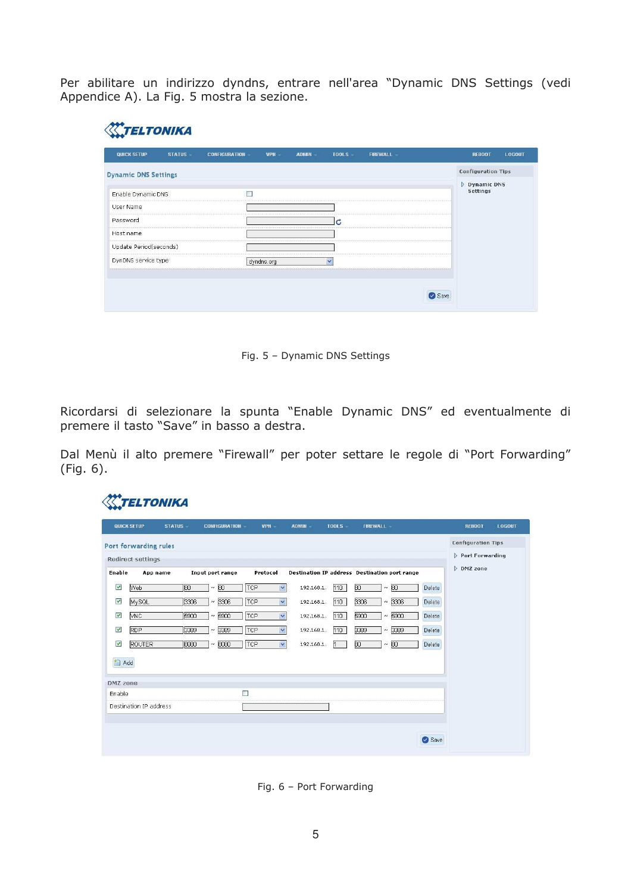Per abilitare un indirizzo dyndns, entrare nell'area "Dynamic DNS Settings (vedi Appendice A). La Fig. 5 mostra la sezione.

| <b>QUICK SETUP</b>          | STATUS - | <b>CONFIGURATION</b> | VPN -      | <b>ADMIN</b> | <b>TOOLS</b> | FIREWALL | LOGOUT<br><b>REBOOT</b>        |
|-----------------------------|----------|----------------------|------------|--------------|--------------|----------|--------------------------------|
| <b>Dynamic DNS Settings</b> |          |                      |            |              |              |          | <b>Configuration Tips</b>      |
| Enable Dynamic DNS          |          | П                    |            |              |              |          | Dynamic DNS<br><b>Settings</b> |
| User Name                   |          |                      |            |              |              |          |                                |
| Password                    |          |                      |            |              | C            |          |                                |
| Host name                   |          |                      |            |              |              |          |                                |
| Update Period(seconds)      |          |                      |            |              |              |          |                                |
| DynDNS service type         |          |                      | dyndns.org |              | $\checkmark$ |          |                                |

Fig. 5 - Dynamic DNS Settings

Ricordarsi di selezionare la spunta "Enable Dynamic DNS" ed eventualmente di premere il tasto "Save" in basso a destra.

Dal Menù il alto premere "Firewall" per poter settare le regole di "Port Forwarding"  $(Fig. 6).$ 

|                    | QUICK SETUP              | <b>STATUS</b> | <b>CONFIGURATION</b> | <b>VPN</b>          | <b>ADMIN</b> | TOOLS -      | <b>FIREWALL</b>                                      |                | <b>REBOOT</b>             | <b>LOGOUT</b> |
|--------------------|--------------------------|---------------|----------------------|---------------------|--------------|--------------|------------------------------------------------------|----------------|---------------------------|---------------|
|                    | Port forwarding rules    |               |                      |                     |              |              |                                                      |                | <b>Configuration Tips</b> |               |
|                    | <b>Redirect settings</b> |               |                      |                     |              |              |                                                      |                | Port Forwarding           |               |
| <b>Enable</b>      | App name                 |               | Input port range     | Protocol            |              |              | <b>Destination IP address Destination port range</b> |                | DMZ zone                  |               |
| ✔                  | Web                      | 16o           | 80<br>$\sim$         | TCP<br>$\checkmark$ | 192.168.1.   | 110          | BO<br>80<br>$\sim$                                   | Delete         |                           |               |
| V                  | MySQL                    | 3306          | 3306<br>$\sim$       | TCP<br>$\checkmark$ | 192.168.1.   | 110          | 3306<br>$\sim$                                       | 3306<br>Delete |                           |               |
| V                  | <b>VNC</b>               | 5900          | 5900<br>$\sim$       | TCP<br>$\checkmark$ | 192.168.1.   | 110          | 5900<br>$\sim$                                       | 5900<br>Delete |                           |               |
| M                  | RDP                      | 3389          | 3389<br>$\sim$       | TCP<br>$\checkmark$ | 192.168.1.   | 110          | 3389<br>$\sim$                                       | 3389<br>Delete |                           |               |
| V                  | <b>ROUTER</b>            | 8080          | 8080<br>$\sim$       | TCP<br>$\checkmark$ | 192.168.1.   | $\mathbf{1}$ | 80<br>80<br>$\sim$                                   | Delete         |                           |               |
| 簡<br>Add           |                          |               |                      |                     |              |              |                                                      |                |                           |               |
|                    |                          |               |                      |                     |              |              |                                                      |                |                           |               |
| DMZ zone<br>Enable |                          |               | □                    |                     |              |              |                                                      |                |                           |               |
|                    | Destination IP address   |               |                      |                     |              |              |                                                      |                |                           |               |
|                    |                          |               |                      |                     |              |              |                                                      |                |                           |               |
|                    |                          |               |                      |                     |              |              |                                                      |                |                           |               |
|                    |                          |               |                      |                     |              |              |                                                      | Save           |                           |               |

Fig. 6 - Port Forwarding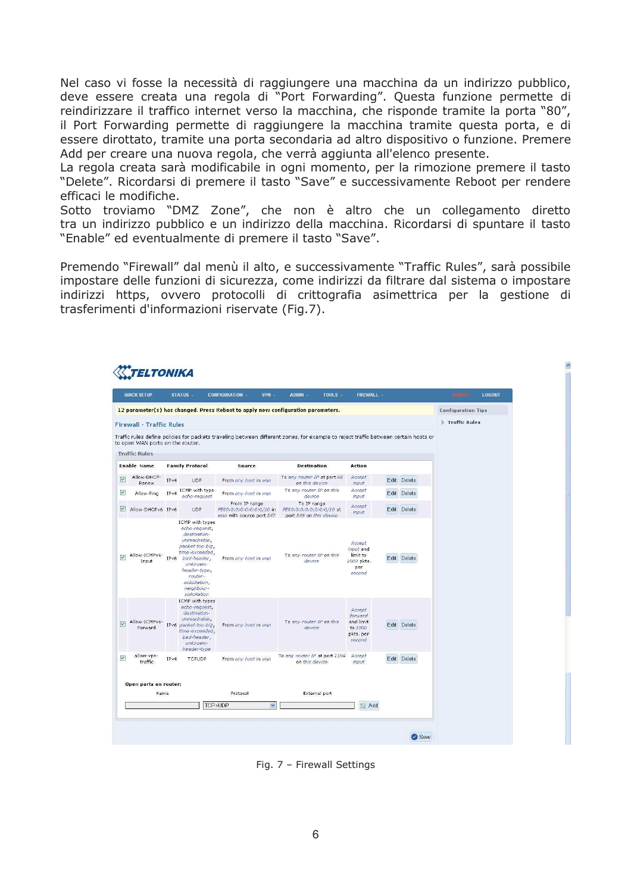Nel caso vi fosse la necessità di raggiungere una macchina da un indirizzo pubblico, deve essere creata una regola di "Port Forwarding". Questa funzione permette di reindirizzare il traffico internet verso la macchina, che risponde tramite la porta "80", il Port Forwarding permette di raggiungere la macchina tramite questa porta, e di essere dirottato, tramite una porta secondaria ad altro dispositivo o funzione. Premere Add per creare una nuova regola, che verrà aggiunta all'elenco presente.

La regola creata sarà modificabile in ogni momento, per la rimozione premere il tasto "Delete". Ricordarsi di premere il tasto "Save" e successivamente Reboot per rendere efficaci le modifiche.

Sotto troviamo "DMZ Zone", che non è altro che un collegamento diretto tra un indirizzo pubblico e un indirizzo della macchina. Ricordarsi di spuntare il tasto "Enable" ed eventualmente di premere il tasto "Save".

Premendo "Firewall" dal menù il alto, e successivamente "Traffic Rules", sarà possibile impostare delle funzioni di sicurezza, come indirizzi da filtrare dal sistema o impostare indirizzi https, ovvero protocolli di crittografia asimettrica per la gestione di trasferimenti d'informazioni riservate (Fig.7).

|                      | QUICK SETUP                      |      | <b>STATUS</b>                                                                                                                                                                                             | <b>CONFIGURATION</b><br><b>VPII</b>                                   | <b>TOOLS</b><br><b>ADMIN</b>                                                                                                        | <b>FIREWALL</b>                                                  |             | <b>BREEDER</b>            | LOGOUT |
|----------------------|----------------------------------|------|-----------------------------------------------------------------------------------------------------------------------------------------------------------------------------------------------------------|-----------------------------------------------------------------------|-------------------------------------------------------------------------------------------------------------------------------------|------------------------------------------------------------------|-------------|---------------------------|--------|
|                      |                                  |      |                                                                                                                                                                                                           |                                                                       | 12 parameter(s) has changed. Press Reboot to apply new configuration parameters.                                                    |                                                                  |             | <b>Configuration Tips</b> |        |
|                      | <b>Firewall - Traffic Rules</b>  |      |                                                                                                                                                                                                           |                                                                       |                                                                                                                                     |                                                                  |             | Traffic Rules             |        |
|                      | to open WAN ports on the router. |      |                                                                                                                                                                                                           |                                                                       | Traffic rules define policies for packets traveling between different zones, for example to reject traffic between certain hosts or |                                                                  |             |                           |        |
|                      | <b>Traffic Rules</b>             |      |                                                                                                                                                                                                           |                                                                       |                                                                                                                                     |                                                                  |             |                           |        |
|                      | <b>Enable Name</b>               |      | <b>Family Protocol</b>                                                                                                                                                                                    | Source                                                                | <b>Destination</b>                                                                                                                  | Action                                                           |             |                           |        |
| $\triangledown$      | Allow-DHCP-<br>Renew             | IPv4 | <b>UDP</b>                                                                                                                                                                                                | From any host in wan                                                  | To any router IP at port 68<br>on this device.                                                                                      | Accept<br>input                                                  | Edit Delete |                           |        |
| ▽                    | Allow-Ping                       | IPv4 | ICMP with type<br>echo-request                                                                                                                                                                            | From any host in wan                                                  | To any router IP on this<br>device                                                                                                  | Accept<br>input                                                  | Edit Delete |                           |        |
|                      | Allow-DHCPv6 IPv6                |      | <b>UDP</b>                                                                                                                                                                                                | From IP range<br>FE80:0:0:0:0:0:0:0/10 in<br>wan with source port 547 | To IP range<br>FE80:0:0:0:0:0:0:0/10 at<br>port 546 on this device                                                                  | Accept<br>input                                                  | Edit Delete |                           |        |
| $\blacktriangledown$ | Allow-ICMPv6-<br>Input           | IPv6 | ICMP with types<br>echo-request,<br>destination-<br>unreachable,<br>packet-too-big<br>time-exceeded,<br>bad-header,<br>unknown-<br>header-type;<br>router-<br>solicitation,<br>neighbour-<br>solicitation | From any host in wan                                                  | To any router IP on this<br>device                                                                                                  | Accept<br>input and<br>limit to<br>1000 pkts.<br>per<br>second   | Edit Delete |                           |        |
| $\triangledown$      | Allow-ICMPv6-<br>Forward         |      | ICMP with types<br>echo-request,<br>destination-<br>unreachable,<br>IPv6 packet-too-big,<br>time-exceeded,<br>bad-header,<br>unknown-<br>header-type                                                      | From any host in wan                                                  | To any router IP on this<br>device                                                                                                  | Accept<br>forward<br>and limit<br>to 1000<br>pkts, per<br>second | Edit Delete |                           |        |
| V                    | allow-vpn-<br>traffic            | IPv4 | <b>TCPUDP</b>                                                                                                                                                                                             | From any host in wan                                                  | To any router IP at port 1194<br>on this device                                                                                     | Accept<br>input                                                  | Edit Delete |                           |        |
|                      |                                  |      |                                                                                                                                                                                                           |                                                                       |                                                                                                                                     |                                                                  |             |                           |        |
|                      | Open ports on router:<br>Name    |      |                                                                                                                                                                                                           | Protocol                                                              | <b>External port</b>                                                                                                                |                                                                  |             |                           |        |
|                      |                                  |      |                                                                                                                                                                                                           | TCP+UDP<br>v                                                          |                                                                                                                                     | + Add                                                            |             |                           |        |

Fig. 7 - Firewall Settings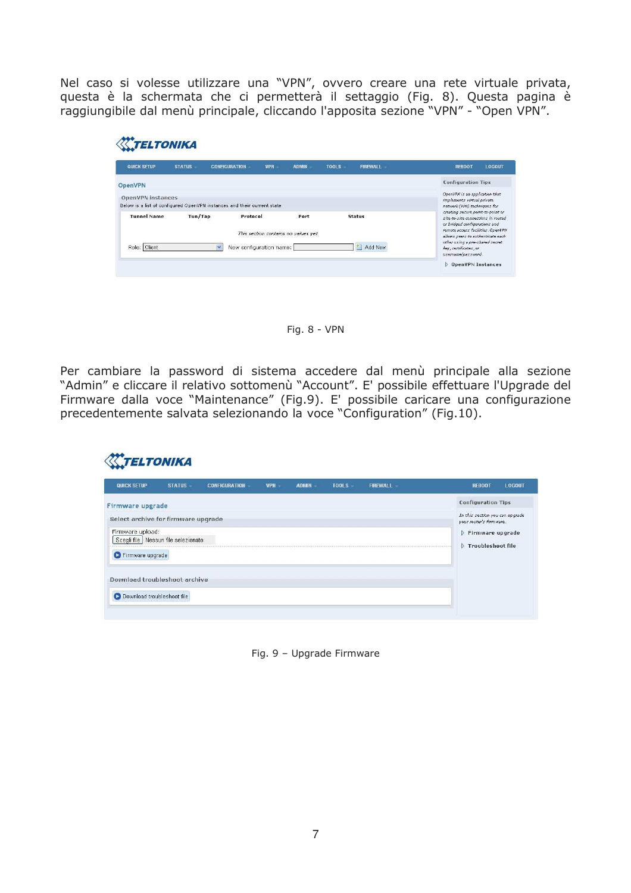Nel caso si volesse utilizzare una "VPN", ovvero creare una rete virtuale privata, questa è la schermata che ci permetterà il settaggio (Fig. 8). Questa pagina è raggiungibile dal menù principale, cliccando l'apposita sezione "VPN" - "Open VPN".

| <b>QUICK SETUP</b>                                                                           | <b>STATUS</b>                                                                                | <b>CONFIGURATION</b>    | <b>ADMIN</b><br><b>VPN</b>          | <b>TOOLS</b> | <b>FIREWALL</b> | <b>REBOOT</b>                                                                                            | LOGOUT |  |
|----------------------------------------------------------------------------------------------|----------------------------------------------------------------------------------------------|-------------------------|-------------------------------------|--------------|-----------------|----------------------------------------------------------------------------------------------------------|--------|--|
| OpenVPN                                                                                      |                                                                                              |                         |                                     |              |                 | <b>Configuration Tips</b>                                                                                |        |  |
| OpenVPN instances<br>Below is a list of configured OpenVPN instances and their current state | OpenVPN is an application that<br>implements virtual private<br>network (VPN) techniques for |                         |                                     |              |                 |                                                                                                          |        |  |
| <b>Tunnel Name</b>                                                                           | Tun/Tap                                                                                      | Protocol                | Port                                |              | <b>Status</b>   | creating secure point-to-point or<br>site-to-site connections in routed<br>or bridged configurations and |        |  |
|                                                                                              |                                                                                              |                         | This section contains no values yet |              |                 | remote access facilities. OpenVPN<br>allows peers to authenticate each                                   |        |  |
| Role: Client                                                                                 |                                                                                              | New configuration name: |                                     |              | F<br>Add New    | other using a pre-shared secret<br>key, certificates, or                                                 |        |  |

Fig. 8 - VPN

Per cambiare la password di sistema accedere dal menù principale alla sezione "Admin" e cliccare il relativo sottomenù "Account". E' possibile effettuare l'Upgrade del Firmware dalla voce "Maintenance" (Fig.9). E' possibile caricare una configurazione precedentemente salvata selezionando la voce "Configuration" (Fig. 10).

| <b>QUICK SETUP</b>                    | <b>STATUS</b> | <b>CONFIGURATION</b> | <b>VPN</b> | <b>ADMIN</b> | <b>TOOLS</b> | <b>FIREWALL</b> | LOGOUT<br><b>REBOOT</b>                                    |  |
|---------------------------------------|---------------|----------------------|------------|--------------|--------------|-----------------|------------------------------------------------------------|--|
| Firmware upgrade                      |               |                      |            |              |              |                 | <b>Configuration Tips</b>                                  |  |
| Select archive for firmware upgrade   |               |                      |            |              |              |                 | In this section you can upgrade<br>your router's firmware. |  |
| Firmware upload:                      |               |                      |            |              |              |                 | Firmware upgrade                                           |  |
| Scegli file   Nessun file selezionato |               |                      |            |              |              |                 | Troubleshoot file                                          |  |
| Firmware upgrade                      |               |                      |            |              |              |                 |                                                            |  |
|                                       |               |                      |            |              |              |                 |                                                            |  |
| Download troubleshoot archive         |               |                      |            |              |              |                 |                                                            |  |
|                                       |               |                      |            |              |              |                 |                                                            |  |
| O Download troubleshoot file          |               |                      |            |              |              |                 |                                                            |  |

Fig. 9 - Upgrade Firmware